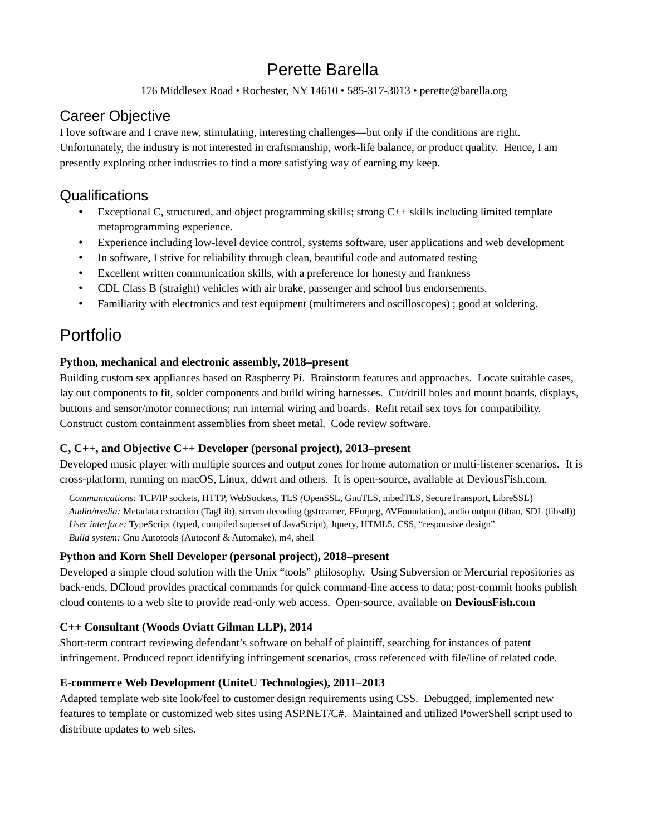# Perette Barella

176 Middlesex Road • Rochester, NY 14610 • 585-317-3013 • perette@barella.org

# Career Objective

I love software and I crave new, stimulating, interesting challenges—but only if the conditions are right. Unfortunately, the industry is not interested in craftsmanship, work-life balance, or product quality. Hence, I am presently exploring other industries to find a more satisfying way of earning my keep.

# Qualifications

- Exceptional C, structured, and object programming skills; strong C++ skills including limited template metaprogramming experience.
- Experience including low-level device control, systems software, user applications and web development
- In software, I strive for reliability through clean, beautiful code and automated testing
- Excellent written communication skills, with a preference for honesty and frankness
- CDL Class B (straight) vehicles with air brake, passenger and school bus endorsements.
- Familiarity with electronics and test equipment (multimeters and oscilloscopes) ; good at soldering.

# Portfolio

### **Python, mechanical and electronic assembly, 2018–present**

Building custom sex appliances based on Raspberry Pi. Brainstorm features and approaches. Locate suitable cases, lay out components to fit, solder components and build wiring harnesses. Cut/drill holes and mount boards, displays, buttons and sensor/motor connections; run internal wiring and boards. Refit retail sex toys for compatibility. Construct custom containment assemblies from sheet metal. Code review software.

### **C, C++, and Objective C++ Developer (personal project), 2013–present**

Developed music player with multiple sources and output zones for home automation or multi-listener scenarios. It is cross-platform, running on macOS, Linux, ddwrt and others. It is open-source**,** available at DeviousFish.com.

*Communications:* TCP/IP sockets, HTTP, WebSockets, TLS *(*OpenSSL, GnuTLS, mbedTLS, SecureTransport, LibreSSL) *Audio/media:* Metadata extraction (TagLib), stream decoding (gstreamer, FFmpeg, AVFoundation), audio output (libao, SDL (libsdl)) *User interface:* TypeScript (typed, compiled superset of JavaScript), Jquery, HTML5, CSS, "responsive design" *Build system:* Gnu Autotools (Autoconf & Automake), m4, shell

### **Python and Korn Shell Developer (personal project), 2018–present**

Developed a simple cloud solution with the Unix "tools" philosophy. Using Subversion or Mercurial repositories as back-ends, DCloud provides practical commands for quick command-line access to data; post-commit hooks publish cloud contents to a web site to provide read-only web access. Open-source, available on **DeviousFish.com**

### **C++ Consultant (Woods Oviatt Gilman LLP), 2014**

Short-term contract reviewing defendant's software on behalf of plaintiff, searching for instances of patent infringement. Produced report identifying infringement scenarios, cross referenced with file/line of related code.

### **E-commerce Web Development (UniteU Technologies), 2011–2013**

Adapted template web site look/feel to customer design requirements using CSS. Debugged, implemented new features to template or customized web sites using ASP.NET/C#. Maintained and utilized PowerShell script used to distribute updates to web sites.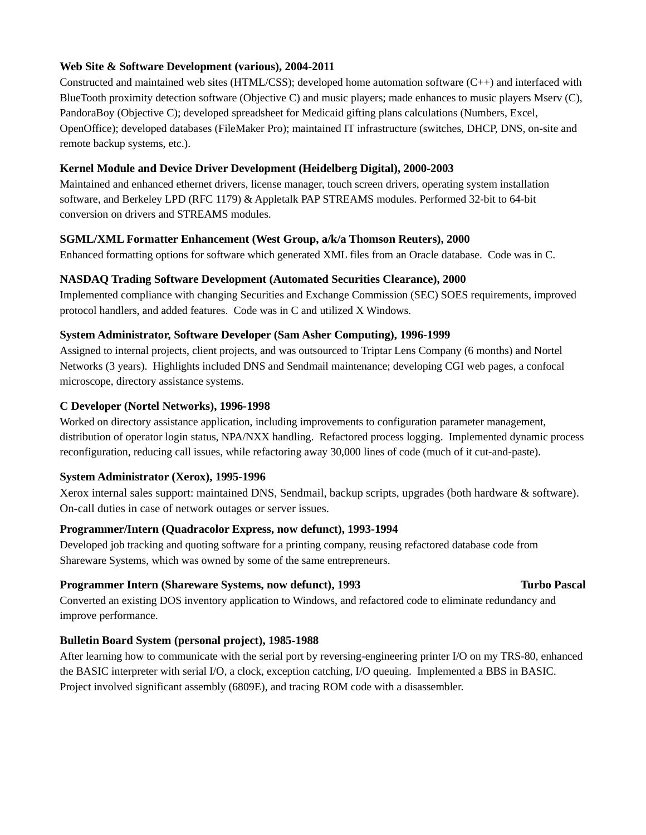### **Web Site & Software Development (various), 2004-2011**

Constructed and maintained web sites (HTML/CSS); developed home automation software (C++) and interfaced with BlueTooth proximity detection software (Objective C) and music players; made enhances to music players Mserv (C), PandoraBoy (Objective C); developed spreadsheet for Medicaid gifting plans calculations (Numbers, Excel, OpenOffice); developed databases (FileMaker Pro); maintained IT infrastructure (switches, DHCP, DNS, on-site and remote backup systems, etc.).

### **Kernel Module and Device Driver Development (Heidelberg Digital), 2000-2003**

Maintained and enhanced ethernet drivers, license manager, touch screen drivers, operating system installation software, and Berkeley LPD (RFC 1179) & Appletalk PAP STREAMS modules. Performed 32-bit to 64-bit conversion on drivers and STREAMS modules.

### **SGML/XML Formatter Enhancement (West Group, a/k/a Thomson Reuters), 2000**

Enhanced formatting options for software which generated XML files from an Oracle database. Code was in C.

### **NASDAQ Trading Software Development (Automated Securities Clearance), 2000**

Implemented compliance with changing Securities and Exchange Commission (SEC) SOES requirements, improved protocol handlers, and added features. Code was in C and utilized X Windows.

### **System Administrator, Software Developer (Sam Asher Computing), 1996-1999**

Assigned to internal projects, client projects, and was outsourced to Triptar Lens Company (6 months) and Nortel Networks (3 years). Highlights included DNS and Sendmail maintenance; developing CGI web pages, a confocal microscope, directory assistance systems.

### **C Developer (Nortel Networks), 1996-1998**

Worked on directory assistance application, including improvements to configuration parameter management, distribution of operator login status, NPA/NXX handling. Refactored process logging. Implemented dynamic process reconfiguration, reducing call issues, while refactoring away 30,000 lines of code (much of it cut-and-paste).

### **System Administrator (Xerox), 1995-1996**

Xerox internal sales support: maintained DNS, Sendmail, backup scripts, upgrades (both hardware & software). On-call duties in case of network outages or server issues.

### **Programmer/Intern (Quadracolor Express, now defunct), 1993-1994**

Developed job tracking and quoting software for a printing company, reusing refactored database code from Shareware Systems, which was owned by some of the same entrepreneurs.

### **Programmer Intern (Shareware Systems, now defunct), 1993** Turbo Pascal

Converted an existing DOS inventory application to Windows, and refactored code to eliminate redundancy and improve performance.

### **Bulletin Board System (personal project), 1985-1988**

After learning how to communicate with the serial port by reversing-engineering printer I/O on my TRS-80, enhanced the BASIC interpreter with serial I/O, a clock, exception catching, I/O queuing. Implemented a BBS in BASIC. Project involved significant assembly (6809E), and tracing ROM code with a disassembler.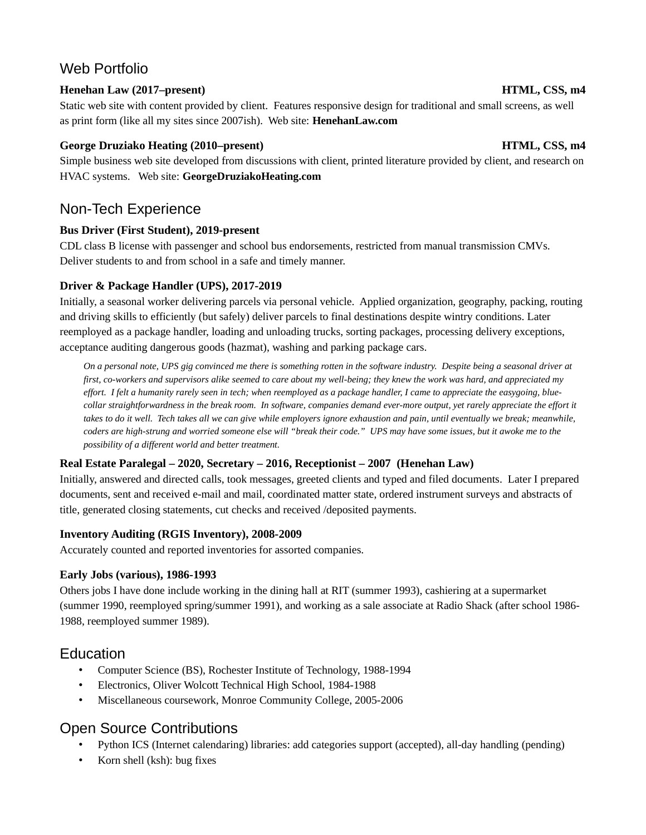# Web Portfolio

### **Henehan Law (2017–present) HTML, CSS, m4**

Static web site with content provided by client. Features responsive design for traditional and small screens, as well as print form (like all my sites since 2007ish). Web site: **HenehanLaw.com**

### **George Druziako Heating (2010–present) HTML, CSS, m4**

Simple business web site developed from discussions with client, printed literature provided by client, and research on HVAC systems. Web site: **GeorgeDruziakoHeating.com**

# Non-Tech Experience

### **Bus Driver (First Student), 2019-present**

CDL class B license with passenger and school bus endorsements, restricted from manual transmission CMVs. Deliver students to and from school in a safe and timely manner.

### **Driver & Package Handler (UPS), 2017-2019**

Initially, a seasonal worker delivering parcels via personal vehicle. Applied organization, geography, packing, routing and driving skills to efficiently (but safely) deliver parcels to final destinations despite wintry conditions. Later reemployed as a package handler, loading and unloading trucks, sorting packages, processing delivery exceptions, acceptance auditing dangerous goods (hazmat), washing and parking package cars.

*On a personal note, UPS gig convinced me there is something rotten in the software industry. Despite being a seasonal driver at first, co-workers and supervisors alike seemed to care about my well-being; they knew the work was hard, and appreciated my effort. I felt a humanity rarely seen in tech; when reemployed as a package handler, I came to appreciate the easygoing, bluecollar straightforwardness in the break room. In software, companies demand ever-more output, yet rarely appreciate the effort it*  takes to do it well. Tech takes all we can give while employers ignore exhaustion and pain, until eventually we break; meanwhile, *coders are high-strung and worried someone else will "break their code." UPS may have some issues, but it awoke me to the possibility of a different world and better treatment.*

### **Real Estate Paralegal – 2020, Secretary – 2016, Receptionist – 2007 (Henehan Law)**

Initially, answered and directed calls, took messages, greeted clients and typed and filed documents. Later I prepared documents, sent and received e-mail and mail, coordinated matter state, ordered instrument surveys and abstracts of title, generated closing statements, cut checks and received /deposited payments.

### **Inventory Auditing (RGIS Inventory), 2008-2009**

Accurately counted and reported inventories for assorted companies.

### **Early Jobs (various), 1986-1993**

Others jobs I have done include working in the dining hall at RIT (summer 1993), cashiering at a supermarket (summer 1990, reemployed spring/summer 1991), and working as a sale associate at Radio Shack (after school 1986- 1988, reemployed summer 1989).

## **Education**

- Computer Science (BS), Rochester Institute of Technology, 1988-1994
- Electronics, Oliver Wolcott Technical High School, 1984-1988
- Miscellaneous coursework, Monroe Community College, 2005-2006

# Open Source Contributions

- Python ICS (Internet calendaring) libraries: add categories support (accepted), all-day handling (pending)
- Korn shell (ksh): bug fixes